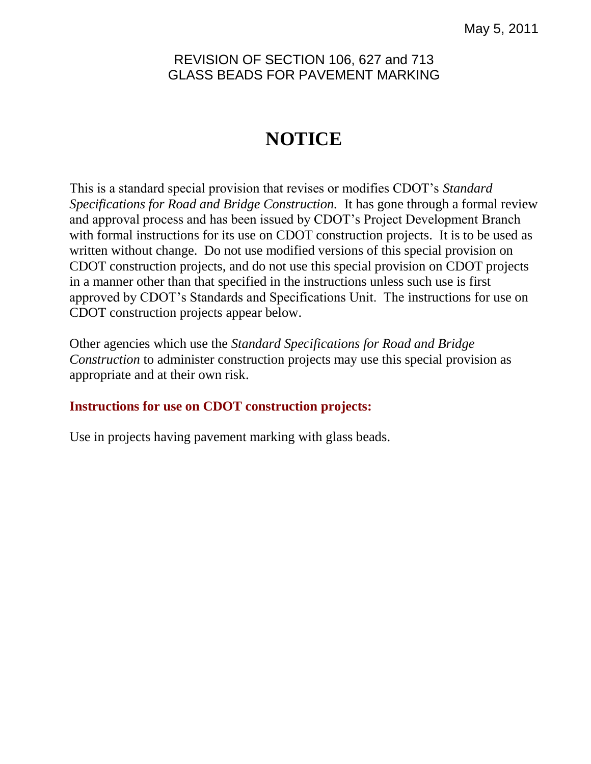## REVISION OF SECTION 106, 627 and 713 GLASS BEADS FOR PAVEMENT MARKING

# **NOTICE**

This is a standard special provision that revises or modifies CDOT's *Standard Specifications for Road and Bridge Construction.* It has gone through a formal review and approval process and has been issued by CDOT's Project Development Branch with formal instructions for its use on CDOT construction projects. It is to be used as written without change. Do not use modified versions of this special provision on CDOT construction projects, and do not use this special provision on CDOT projects in a manner other than that specified in the instructions unless such use is first approved by CDOT's Standards and Specifications Unit. The instructions for use on CDOT construction projects appear below.

Other agencies which use the *Standard Specifications for Road and Bridge Construction* to administer construction projects may use this special provision as appropriate and at their own risk.

### **Instructions for use on CDOT construction projects:**

Use in projects having pavement marking with glass beads.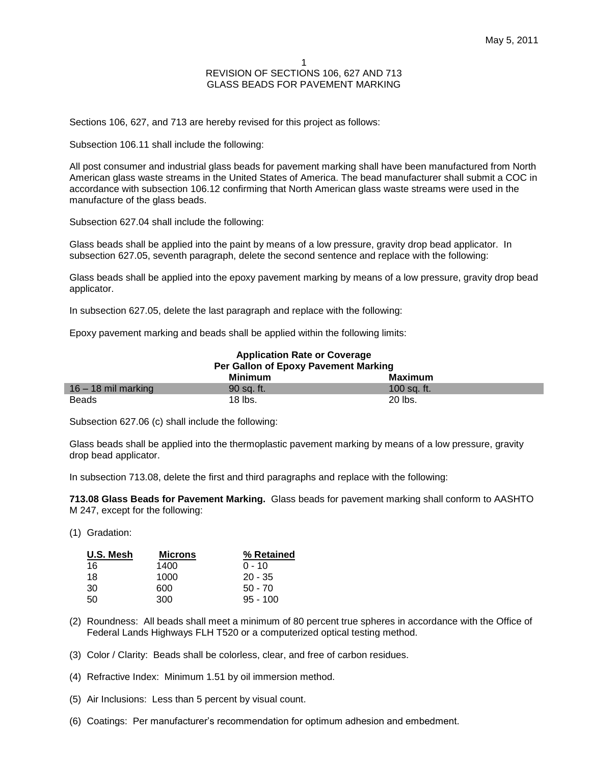#### 1 REVISION OF SECTIONS 106, 627 AND 713 GLASS BEADS FOR PAVEMENT MARKING

Sections 106, 627, and 713 are hereby revised for this project as follows:

Subsection 106.11 shall include the following:

All post consumer and industrial glass beads for pavement marking shall have been manufactured from North American glass waste streams in the United States of America. The bead manufacturer shall submit a COC in accordance with subsection 106.12 confirming that North American glass waste streams were used in the manufacture of the glass beads.

Subsection 627.04 shall include the following:

Glass beads shall be applied into the paint by means of a low pressure, gravity drop bead applicator. In subsection 627.05, seventh paragraph, delete the second sentence and replace with the following:

Glass beads shall be applied into the epoxy pavement marking by means of a low pressure, gravity drop bead applicator.

In subsection 627.05, delete the last paragraph and replace with the following:

Epoxy pavement marking and beads shall be applied within the following limits:

| <b>Application Rate or Coverage</b>  |            |             |  |
|--------------------------------------|------------|-------------|--|
| Per Gallon of Epoxy Pavement Marking |            |             |  |
|                                      | Minimum    | Maximum     |  |
| $16 - 18$ mil marking                | 90 sa. ft. | 100 sa. ft. |  |
| <b>Beads</b>                         | $18$ lbs.  | 20 lbs.     |  |

Subsection 627.06 (c) shall include the following:

Glass beads shall be applied into the thermoplastic pavement marking by means of a low pressure, gravity drop bead applicator.

In subsection 713.08, delete the first and third paragraphs and replace with the following:

**713.08 Glass Beads for Pavement Marking.** Glass beads for pavement marking shall conform to AASHTO M 247, except for the following:

(1) Gradation:

| U.S. Mesh | <b>Microns</b> | % Retained |
|-----------|----------------|------------|
| 16        | 1400           | $0 - 10$   |
| 18        | 1000           | $20 - 35$  |
| 30        | 600            | $50 - 70$  |
| 50        | 300            | $95 - 100$ |

- (2) Roundness: All beads shall meet a minimum of 80 percent true spheres in accordance with the Office of Federal Lands Highways FLH T520 or a computerized optical testing method.
- (3) Color / Clarity: Beads shall be colorless, clear, and free of carbon residues.
- (4) Refractive Index: Minimum 1.51 by oil immersion method.
- (5) Air Inclusions: Less than 5 percent by visual count.
- (6) Coatings: Per manufacturer's recommendation for optimum adhesion and embedment.